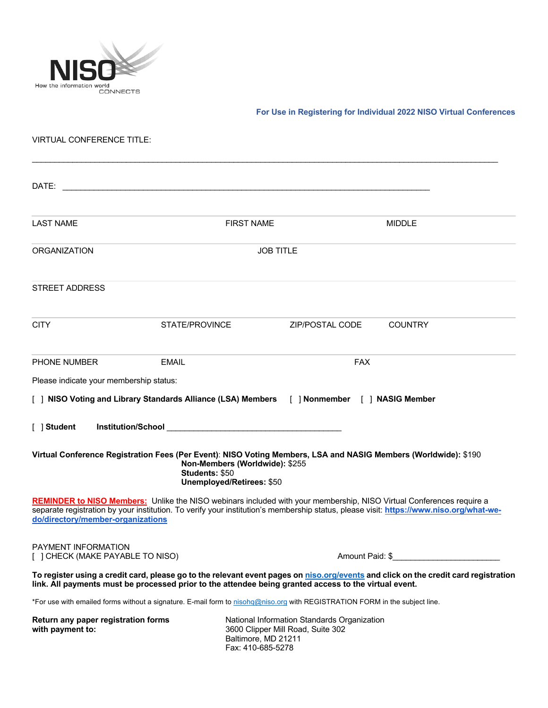

## **For Use in Registering for Individual 2022 NISO Virtual Conferences**

## VIRTUAL CONFERENCE TITLE:

| DATE:                                                                                                                                                            |                                                                                                                                                                                                                                |                  |                                                                                                                                        |
|------------------------------------------------------------------------------------------------------------------------------------------------------------------|--------------------------------------------------------------------------------------------------------------------------------------------------------------------------------------------------------------------------------|------------------|----------------------------------------------------------------------------------------------------------------------------------------|
| <b>LAST NAME</b>                                                                                                                                                 | <b>FIRST NAME</b>                                                                                                                                                                                                              |                  | <b>MIDDLE</b>                                                                                                                          |
| <b>ORGANIZATION</b>                                                                                                                                              |                                                                                                                                                                                                                                | <b>JOB TITLE</b> |                                                                                                                                        |
| <b>STREET ADDRESS</b>                                                                                                                                            |                                                                                                                                                                                                                                |                  |                                                                                                                                        |
| <b>CITY</b>                                                                                                                                                      | STATE/PROVINCE                                                                                                                                                                                                                 | ZIP/POSTAL CODE  | <b>COUNTRY</b>                                                                                                                         |
| <b>PHONE NUMBER</b>                                                                                                                                              | <b>EMAIL</b>                                                                                                                                                                                                                   | <b>FAX</b>       |                                                                                                                                        |
| Please indicate your membership status:                                                                                                                          |                                                                                                                                                                                                                                |                  |                                                                                                                                        |
| [ ] NISO Voting and Library Standards Alliance (LSA) Members [ ] Nonmember [ ] NASIG Member                                                                      |                                                                                                                                                                                                                                |                  |                                                                                                                                        |
| [ ] Student                                                                                                                                                      | Institution/School entertainment and the contract of the contract of the contract of the contract of the contract of the contract of the contract of the contract of the contract of the contract of the contract of the contr |                  |                                                                                                                                        |
| Virtual Conference Registration Fees (Per Event): NISO Voting Members, LSA and NASIG Members (Worldwide): \$190                                                  | Non-Members (Worldwide): \$255<br>Students: \$50<br><b>Unemployed/Retirees: \$50</b>                                                                                                                                           |                  |                                                                                                                                        |
| <b>REMINDER to NISO Members:</b> Unlike the NISO webinars included with your membership, NISO Virtual Conferences require a<br>do/directory/member-organizations |                                                                                                                                                                                                                                |                  | separate registration by your institution. To verify your institution's membership status, please visit: https://www.niso.org/what-we- |
| <b>PAYMENT INFORMATION</b><br>[ ] CHECK (MAKE PAYABLE TO NISO)                                                                                                   |                                                                                                                                                                                                                                |                  | Amount Paid: \$                                                                                                                        |
| link. All payments must be processed prior to the attendee being granted access to the virtual event.                                                            |                                                                                                                                                                                                                                |                  | To register using a credit card, please go to the relevant event pages on niso.org/events and click on the credit card registration    |
| *For use with emailed forms without a signature. E-mail form to nisohg@niso.org with REGISTRATION FORM in the subject line.                                      |                                                                                                                                                                                                                                |                  |                                                                                                                                        |
| Return any paper registration forms<br>with payment to:                                                                                                          | National Information Standards Organization<br>3600 Clipper Mill Road, Suite 302<br>Baltimore, MD 21211<br>Fax: 410-685-5278                                                                                                   |                  |                                                                                                                                        |

 $\mathcal{L}_\mathcal{L} = \{ \mathcal{L}_\mathcal{L} = \{ \mathcal{L}_\mathcal{L} = \{ \mathcal{L}_\mathcal{L} = \{ \mathcal{L}_\mathcal{L} = \{ \mathcal{L}_\mathcal{L} = \{ \mathcal{L}_\mathcal{L} = \{ \mathcal{L}_\mathcal{L} = \{ \mathcal{L}_\mathcal{L} = \{ \mathcal{L}_\mathcal{L} = \{ \mathcal{L}_\mathcal{L} = \{ \mathcal{L}_\mathcal{L} = \{ \mathcal{L}_\mathcal{L} = \{ \mathcal{L}_\mathcal{L} = \{ \mathcal{L}_\mathcal{$